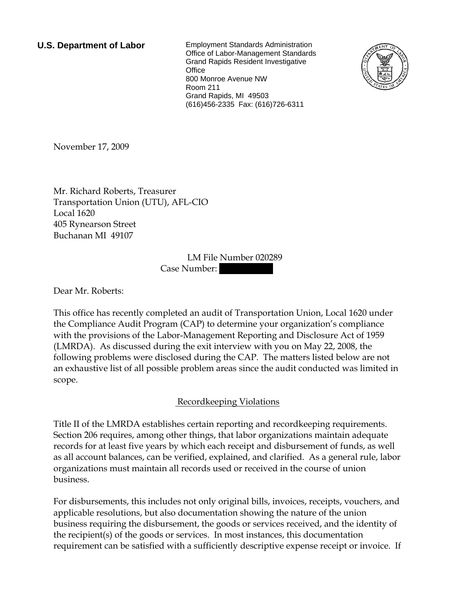**U.S. Department of Labor** Employment Standards Administration Office of Labor-Management Standards Grand Rapids Resident Investigative **Office** 800 Monroe Avenue NW Room 211 Grand Rapids, MI 49503 (616)456-2335 Fax: (616)726-6311



November 17, 2009

Mr. Richard Roberts, Treasurer Transportation Union (UTU), AFL-CIO Local 1620 405 Rynearson Street Buchanan MI 49107

> LM File Number 020289 Case Number:

Dear Mr. Roberts:

This office has recently completed an audit of Transportation Union, Local 1620 under the Compliance Audit Program (CAP) to determine your organization's compliance with the provisions of the Labor-Management Reporting and Disclosure Act of 1959 (LMRDA). As discussed during the exit interview with you on May 22, 2008, the following problems were disclosed during the CAP. The matters listed below are not an exhaustive list of all possible problem areas since the audit conducted was limited in scope.

## Recordkeeping Violations

Title II of the LMRDA establishes certain reporting and recordkeeping requirements. Section 206 requires, among other things, that labor organizations maintain adequate records for at least five years by which each receipt and disbursement of funds, as well as all account balances, can be verified, explained, and clarified. As a general rule, labor organizations must maintain all records used or received in the course of union business.

For disbursements, this includes not only original bills, invoices, receipts, vouchers, and applicable resolutions, but also documentation showing the nature of the union business requiring the disbursement, the goods or services received, and the identity of the recipient(s) of the goods or services. In most instances, this documentation requirement can be satisfied with a sufficiently descriptive expense receipt or invoice. If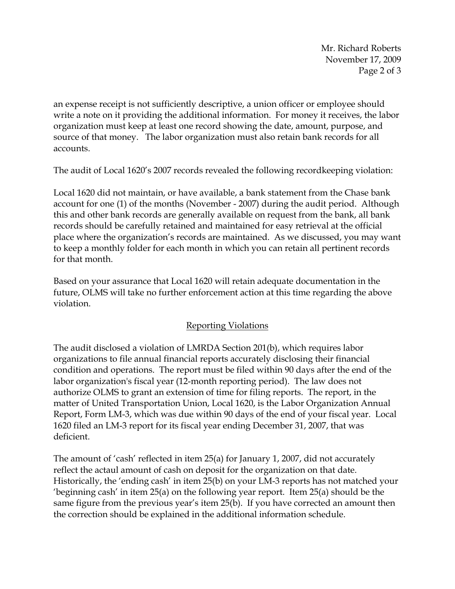Mr. Richard Roberts November 17, 2009 Page 2 of 3

an expense receipt is not sufficiently descriptive, a union officer or employee should write a note on it providing the additional information. For money it receives, the labor organization must keep at least one record showing the date, amount, purpose, and source of that money. The labor organization must also retain bank records for all accounts.

The audit of Local 1620's 2007 records revealed the following recordkeeping violation:

Local 1620 did not maintain, or have available, a bank statement from the Chase bank account for one (1) of the months (November - 2007) during the audit period. Although this and other bank records are generally available on request from the bank, all bank records should be carefully retained and maintained for easy retrieval at the official place where the organization's records are maintained. As we discussed, you may want to keep a monthly folder for each month in which you can retain all pertinent records for that month.

Based on your assurance that Local 1620 will retain adequate documentation in the future, OLMS will take no further enforcement action at this time regarding the above violation.

## Reporting Violations

The audit disclosed a violation of LMRDA Section 201(b), which requires labor organizations to file annual financial reports accurately disclosing their financial condition and operations. The report must be filed within 90 days after the end of the labor organization's fiscal year (12-month reporting period). The law does not authorize OLMS to grant an extension of time for filing reports. The report, in the matter of United Transportation Union, Local 1620, is the Labor Organization Annual Report, Form LM-3, which was due within 90 days of the end of your fiscal year. Local 1620 filed an LM-3 report for its fiscal year ending December 31, 2007, that was deficient.

The amount of 'cash' reflected in item 25(a) for January 1, 2007, did not accurately reflect the actaul amount of cash on deposit for the organization on that date. Historically, the 'ending cash' in item 25(b) on your LM-3 reports has not matched your 'beginning cash' in item 25(a) on the following year report. Item 25(a) should be the same figure from the previous year's item 25(b). If you have corrected an amount then the correction should be explained in the additional information schedule.